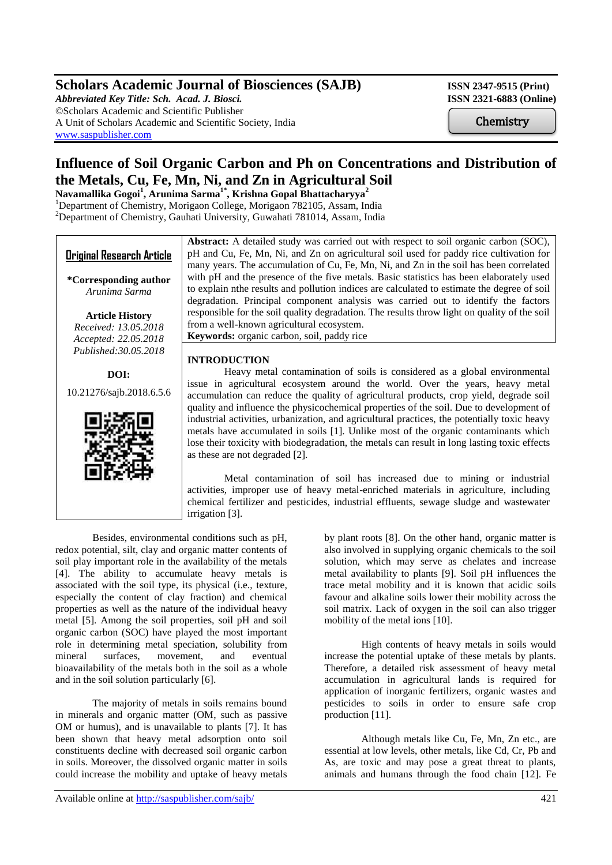# **Scholars Academic Journal of Biosciences (SAJB)** ISSN 2347-9515 (Print)

*Abbreviated Key Title: Sch. Acad. J. Biosci.* **ISSN 2321-6883 (Online)** ©Scholars Academic and Scientific Publisher A Unit of Scholars Academic and Scientific Society, India [www.saspublisher.com](http://www.saspublisher.com/)

**Chemistry** 

# **Influence of Soil Organic Carbon and Ph on Concentrations and Distribution of the Metals, Cu, Fe, Mn, Ni, and Zn in Agricultural Soil**

**Navamallika Gogoi<sup>1</sup> , Arunima Sarma1\*, Krishna Gopal Bhattacharyya<sup>2</sup>** <sup>1</sup>Department of Chemistry, Morigaon College, Morigaon 782105, Assam, India <sup>2</sup>Department of Chemistry, Gauhati University, Guwahati 781014, Assam, India



Besides, environmental conditions such as pH, redox potential, silt, clay and organic matter contents of soil play important role in the availability of the metals [4]. The ability to accumulate heavy metals is associated with the soil type, its physical (i.e., texture, especially the content of clay fraction) and chemical properties as well as the nature of the individual heavy metal [5]. Among the soil properties, soil pH and soil organic carbon (SOC) have played the most important role in determining metal speciation, solubility from mineral surfaces, movement, and eventual bioavailability of the metals both in the soil as a whole and in the soil solution particularly [6].

The majority of metals in soils remains bound in minerals and organic matter (OM, such as passive OM or humus), and is unavailable to plants [7]. It has been shown that heavy metal adsorption onto soil constituents decline with decreased soil organic carbon in soils. Moreover, the dissolved organic matter in soils could increase the mobility and uptake of heavy metals by plant roots [8]. On the other hand, organic matter is also involved in supplying organic chemicals to the soil solution, which may serve as chelates and increase metal availability to plants [9]. Soil pH influences the trace metal mobility and it is known that acidic soils favour and alkaline soils lower their mobility across the soil matrix. Lack of oxygen in the soil can also trigger mobility of the metal ions [10].

High contents of heavy metals in soils would increase the potential uptake of these metals by plants. Therefore, a detailed risk assessment of heavy metal accumulation in agricultural lands is required for application of inorganic fertilizers, organic wastes and pesticides to soils in order to ensure safe crop production [11].

Although metals like Cu, Fe, Mn, Zn etc., are essential at low levels, other metals, like Cd, Cr, Pb and As, are toxic and may pose a great threat to plants, animals and humans through the food chain [12]. Fe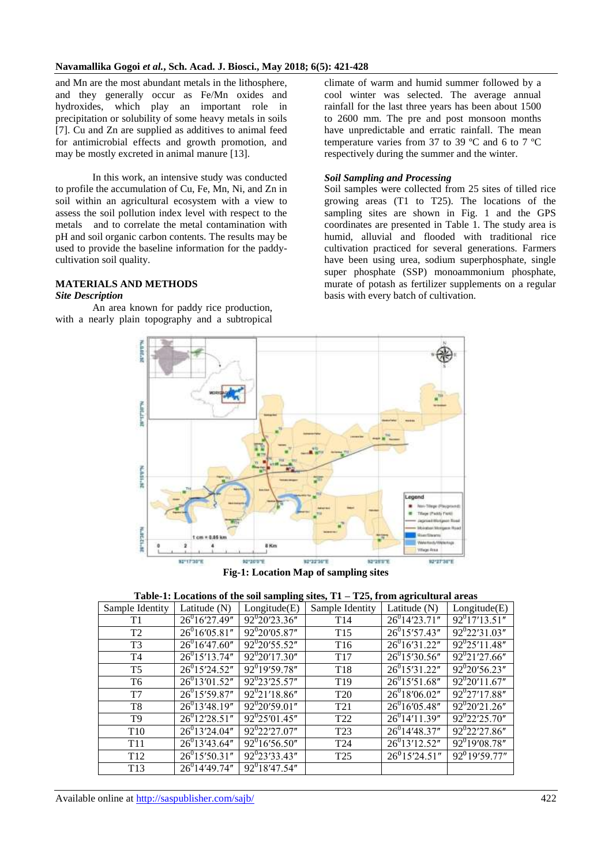and Mn are the most abundant metals in the lithosphere, and they generally occur as Fe/Mn oxides and hydroxides, which play an important role in precipitation or solubility of some heavy metals in soils [7]. Cu and Zn are supplied as additives to animal feed for antimicrobial effects and growth promotion, and may be mostly excreted in animal manure [13].

In this work, an intensive study was conducted to profile the accumulation of Cu, Fe, Mn, Ni, and Zn in soil within an agricultural ecosystem with a view to assess the soil pollution index level with respect to the metals and to correlate the metal contamination with pH and soil organic carbon contents. The results may be used to provide the baseline information for the paddycultivation soil quality.

#### **MATERIALS AND METHODS**

#### *Site Description*

An area known for paddy rice production, with a nearly plain topography and a subtropical climate of warm and humid summer followed by a cool winter was selected. The average annual rainfall for the last three years has been about 1500 to 2600 mm. The pre and post monsoon months have unpredictable and erratic rainfall. The mean temperature varies from 37 to 39 ºC and 6 to 7 ºC respectively during the summer and the winter.

## *Soil Sampling and Processing*

Soil samples were collected from 25 sites of tilled rice growing areas (T1 to T25). The locations of the sampling sites are shown in Fig. 1 and the GPS coordinates are presented in Table 1. The study area is humid, alluvial and flooded with traditional rice cultivation practiced for several generations. Farmers have been using urea, sodium superphosphate, single super phosphate (SSP) monoammonium phosphate, murate of potash as fertilizer supplements on a regular basis with every batch of cultivation.



**Fig-1: Location Map of sampling sites**

| Table-1: Locations of the soil sampling sites, $T1 - T25$ , from agricultural areas |  |  |
|-------------------------------------------------------------------------------------|--|--|
|                                                                                     |  |  |

| Sample Identity | Latitude (N)       | Longitude(E)                  | Sample Identity | Latitude (N)                | Longitude(E)                  |
|-----------------|--------------------|-------------------------------|-----------------|-----------------------------|-------------------------------|
| T <sub>1</sub>  | $26^{0}16'27.49''$ | $\overline{92}^{0}20'23.36''$ | T <sub>14</sub> | $26^{0}14'23.71''$          | $\overline{92^0}17'13.51''$   |
| T <sub>2</sub>  | $26^{0}16'05.81''$ | $92^{0}20'05.87''$            | T <sub>15</sub> | $26^{0}15'57.43''$          | $\overline{92^0}22'31.03''$   |
| T <sub>3</sub>  | $26^{0}16'47.60''$ | $\overline{92^020'55.52''}$   | T <sub>16</sub> | $\overline{26}^0$ 16'31.22" | $\overline{92^{0}25'}$ 11.48" |
| T <sub>4</sub>  | $26^{0}15'13.74''$ | $\overline{92^0}20'17.30''$   | T <sub>17</sub> | $26^{0}15'30.56''$          | $\overline{92^{0}21'27.66''}$ |
| T <sub>5</sub>  | $26^{0}15'24.52"$  | $92^{0}19'59.78''$            | T <sub>18</sub> | $26^{0}15'31.22"$           | $\overline{92}^0 20' 56.23''$ |
| T <sub>6</sub>  | $26^{0}13'01.52"$  | $\overline{92^0}23'25.57''$   | T <sub>19</sub> | $26^{0}15'51.68''$          | $92^{02}0'11.67''$            |
| T7              | $26^{0}15'59.87''$ | $\overline{92^0}$ 21'18.86"   | T <sub>20</sub> | $26^{0}18'06.02"$           | $92^0$ 27'17.88"              |
| T <sub>8</sub>  | $26^{0}13'48.19''$ | $\frac{92^{0}20'59.01''}{2}$  | T <sub>21</sub> | $26^{0}16'05.48''$          | $\overline{92^0}20'21.26''$   |
| T <sub>9</sub>  | $26^{0}12'28.51''$ | $\overline{92}^{0}25'01.45''$ | T <sub>22</sub> | $26^{0}14'11.39''$          | $92^0$ 22'25.70"              |
| T <sub>10</sub> | $26^{0}13'24.04"$  | $92^0$ 22'27.07"              | T <sub>23</sub> | $26^{0}14'48.37''$          | $92^{0}22'27.86''$            |
| T <sub>11</sub> | $26^{0}13'43.64''$ | $92^016'56.50''$              | T <sub>24</sub> | $26^{0}13'12.52"$           | $\overline{92}^0$ 19'08.78"   |
| T <sub>12</sub> | $26^{0}15'50.31''$ | 92 <sup>0</sup> 23'33.43"     | T <sub>25</sub> | $26^0$ 15'24.51"            | 92°19'59.77"                  |
| T <sub>13</sub> | $26^{0}14'49.74''$ | $92^{0}18'47.54''$            |                 |                             |                               |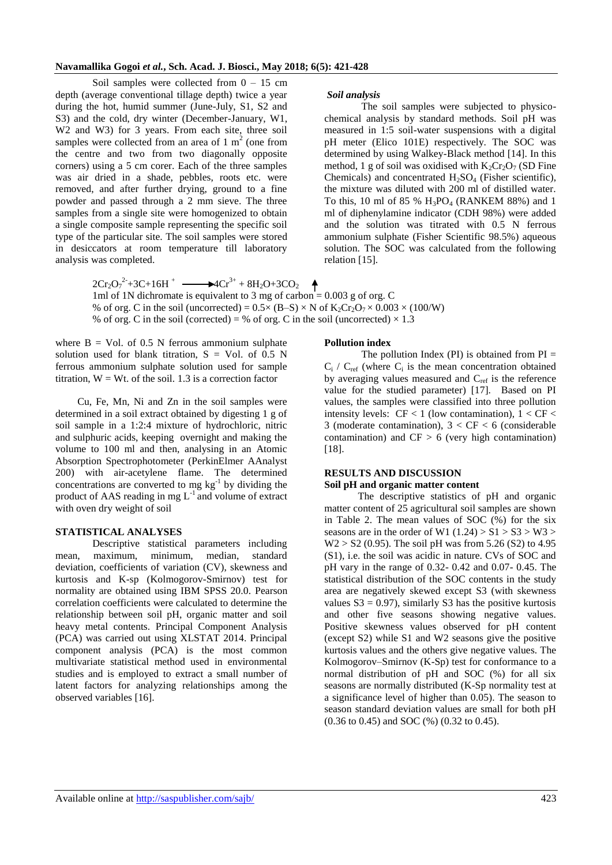Soil samples were collected from  $0 - 15$  cm depth (average conventional tillage depth) twice a year during the hot, humid summer (June-July, S1, S2 and S3) and the cold, dry winter (December-January, W1, W<sub>2</sub> and W<sub>3</sub>) for 3 years. From each site, three soil samples were collected from an area of  $1 \text{ m}^2$  (one from the centre and two from two diagonally opposite corners) using a 5 cm corer. Each of the three samples was air dried in a shade, pebbles, roots etc. were removed, and after further drying, ground to a fine powder and passed through a 2 mm sieve. The three samples from a single site were homogenized to obtain a single composite sample representing the specific soil type of the particular site. The soil samples were stored in desiccators at room temperature till laboratory analysis was completed.

#### *Soil analysis*

The soil samples were subjected to physicochemical analysis by standard methods. Soil pH was measured in 1:5 soil-water suspensions with a digital pH meter (Elico 101E) respectively. The SOC was determined by using Walkey-Black method [14]. In this method, 1 g of soil was oxidised with  $K_2Cr_2O_7$  (SD Fine Chemicals) and concentrated  $H_2SO_4$  (Fisher scientific), the mixture was diluted with 200 ml of distilled water. To this, 10 ml of 85 %  $H_3PO_4$  (RANKEM 88%) and 1 ml of diphenylamine indicator (CDH 98%) were added and the solution was titrated with 0.5 N ferrous ammonium sulphate (Fisher Scientific 98.5%) aqueous solution. The SOC was calculated from the following relation [15].

 $2Cr_2O_7^2+3C+16H^+$   $\longrightarrow 4Cr^{3+}+8H_2O+3CO_2$ 1ml of 1N dichromate is equivalent to 3 mg of carbon = 0.003 g of org. C % of org. C in the soil (uncorrected) =  $0.5 \times (B-S) \times N$  of  $K_2Cr_2O_7 \times 0.003 \times (100/W)$ % of org. C in the soil (corrected) = % of org. C in the soil (uncorrected)  $\times$  1.3

where  $B = Vol$ . of 0.5 N ferrous ammonium sulphate solution used for blank titration,  $S = Vol$ . of 0.5 N ferrous ammonium sulphate solution used for sample titration,  $W = Wt$ . of the soil. 1.3 is a correction factor

Cu, Fe, Mn, Ni and Zn in the soil samples were determined in a soil extract obtained by digesting 1 g of soil sample in a 1:2:4 mixture of hydrochloric, nitric and sulphuric acids, keeping overnight and making the volume to 100 ml and then, analysing in an Atomic Absorption Spectrophotometer (PerkinElmer AAnalyst 200) with air-acetylene flame. The determined concentrations are converted to mg  $kg<sup>-1</sup>$  by dividing the product of AAS reading in mg  $L^{-1}$  and volume of extract with oven dry weight of soil

#### **STATISTICAL ANALYSES**

Descriptive statistical parameters including mean, maximum, minimum, median, standard deviation, coefficients of variation (CV), skewness and kurtosis and K-sp (Kolmogorov-Smirnov) test for normality are obtained using IBM SPSS 20.0. Pearson correlation coefficients were calculated to determine the relationship between soil pH, organic matter and soil heavy metal contents. Principal Component Analysis (PCA) was carried out using XLSTAT 2014. Principal component analysis (PCA) is the most common multivariate statistical method used in environmental studies and is employed to extract a small number of latent factors for analyzing relationships among the observed variables [16].

#### **Pollution index**

The pollution Index (PI) is obtained from  $PI =$  $C_i$  /  $C_{ref}$  (where  $C_i$  is the mean concentration obtained by averaging values measured and  $C_{ref}$  is the reference value for the studied parameter) [17]. Based on PI values, the samples were classified into three pollution intensity levels:  $CF < 1$  (low contamination),  $1 < CF <$ 3 (moderate contamination),  $3 < CF < 6$  (considerable contamination) and  $CF > 6$  (very high contamination) [18].

#### **RESULTS AND DISCUSSION**

#### **Soil pH and organic matter content**

 The descriptive statistics of pH and organic matter content of 25 agricultural soil samples are shown in Table 2. The mean values of SOC (%) for the six seasons are in the order of W1  $(1.24) > S1 > S3 > W3 >$  $W2 > S2$  (0.95). The soil pH was from 5.26 (S2) to 4.95 (S1), i.e. the soil was acidic in nature. CVs of SOC and pH vary in the range of 0.32- 0.42 and 0.07- 0.45. The statistical distribution of the SOC contents in the study area are negatively skewed except S3 (with skewness values  $S3 = 0.97$ ), similarly S3 has the positive kurtosis and other five seasons showing negative values. Positive skewness values observed for pH content (except S2) while S1 and W2 seasons give the positive kurtosis values and the others give negative values. The Kolmogorov–Smirnov (K-Sp) test for conformance to a normal distribution of pH and SOC (%) for all six seasons are normally distributed (K-Sp normality test at a significance level of higher than 0.05). The season to season standard deviation values are small for both pH (0.36 to 0.45) and SOC (%) (0.32 to 0.45).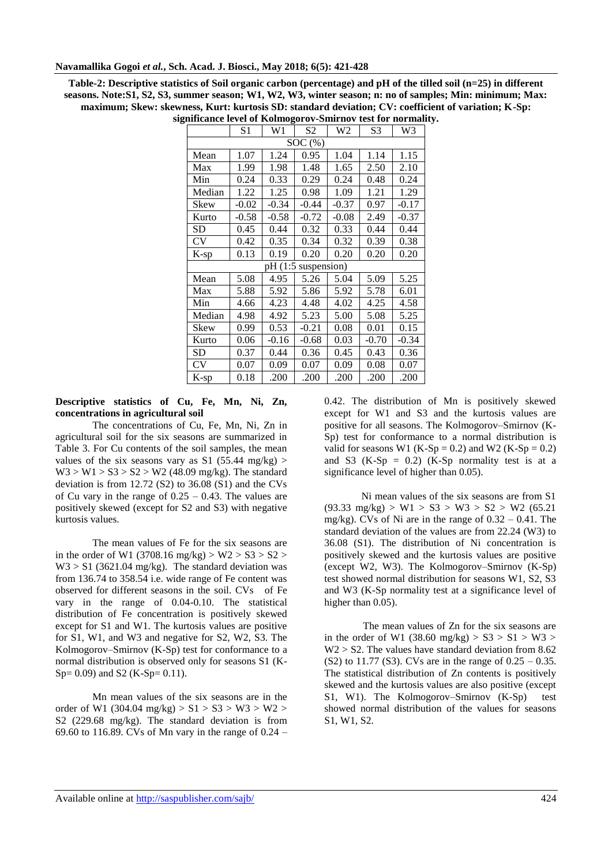| Table-2: Descriptive statistics of Soil organic carbon (percentage) and pH of the tilled soil $(n=25)$ in different |
|---------------------------------------------------------------------------------------------------------------------|
| seasons. Note: S1, S2, S3, summer season; W1, W2, W3, winter season; n: no of samples; Min: minimum; Max:           |
| maximum; Skew: skewness, Kurt: kurtosis SD: standard deviation; CV: coefficient of variation; K-Sp:                 |
| significance level of Kolmogorov-Smirnov test for normality.                                                        |

|           | S1      | W1      | S2          | W2      | S3      | W3      |
|-----------|---------|---------|-------------|---------|---------|---------|
|           |         |         | SOC(%)      |         |         |         |
| Mean      | 1.07    | 1.24    | 0.95        | 1.04    | 1.14    | 1.15    |
| Max       | 1.99    | 1.98    | 1.48        | 1.65    | 2.50    | 2.10    |
| Min       | 0.24    | 0.33    | 0.29        | 0.24    | 0.48    | 0.24    |
| Median    | 1.22    | 1.25    | 0.98        | 1.09    | 1.21    | 1.29    |
| Skew      | $-0.02$ | $-0.34$ | $-0.44$     | $-0.37$ | 0.97    | $-0.17$ |
| Kurto     | $-0.58$ | $-0.58$ | $-0.72$     | $-0.08$ | 2.49    | $-0.37$ |
| <b>SD</b> | 0.45    | 0.44    | 0.32        | 0.33    | 0.44    | 0.44    |
| <b>CV</b> | 0.42    | 0.35    | 0.34        | 0.32    | 0.39    | 0.38    |
| $K$ -sp   | 0.13    | 0.19    | 0.20        | 0.20    | 0.20    | 0.20    |
|           |         | pH (1:5 | suspension) |         |         |         |
| Mean      | 5.08    | 4.95    | 5.26        | 5.04    | 5.09    | 5.25    |
| Max       | 5.88    | 5.92    | 5.86        | 5.92    | 5.78    | 6.01    |
| Min       | 4.66    | 4.23    | 4.48        | 4.02    | 4.25    | 4.58    |
| Median    | 4.98    | 4.92    | 5.23        | 5.00    | 5.08    | 5.25    |
| Skew      | 0.99    | 0.53    | $-0.21$     | 0.08    | 0.01    | 0.15    |
| Kurto     | 0.06    | $-0.16$ | $-0.68$     | 0.03    | $-0.70$ | $-0.34$ |
| SD        | 0.37    | 0.44    | 0.36        | 0.45    | 0.43    | 0.36    |
| <b>CV</b> | 0.07    | 0.09    | 0.07        | 0.09    | 0.08    | 0.07    |
| K-sp      | 0.18    | .200    | .200        | .200    | .200    | .200    |

**Descriptive statistics of Cu, Fe, Mn, Ni, Zn, concentrations in agricultural soil**

The concentrations of Cu, Fe, Mn, Ni, Zn in agricultural soil for the six seasons are summarized in Table 3. For Cu contents of the soil samples, the mean values of the six seasons vary as S1 (55.44 mg/kg) >  $W3 > W1 > S3 > S2 > W2$  (48.09 mg/kg). The standard deviation is from 12.72 (S2) to 36.08 (S1) and the CVs of Cu vary in the range of  $0.25 - 0.43$ . The values are positively skewed (except for S2 and S3) with negative kurtosis values.

The mean values of Fe for the six seasons are in the order of W1 (3708.16 mg/kg) > W2 > S3 > S2 >  $W3 > S1$  (3621.04 mg/kg). The standard deviation was from 136.74 to 358.54 i.e. wide range of Fe content was observed for different seasons in the soil. CVs of Fe vary in the range of 0.04-0.10. The statistical distribution of Fe concentration is positively skewed except for S1 and W1. The kurtosis values are positive for S1, W1, and W3 and negative for S2, W2, S3. The Kolmogorov–Smirnov (K-Sp) test for conformance to a normal distribution is observed only for seasons S1 (K-Sp= 0.09) and S2 (K-Sp= 0.11).

Mn mean values of the six seasons are in the order of W1 (304.04 mg/kg)  $> S1 > S3 > W3 > W2 >$ S2 (229.68 mg/kg). The standard deviation is from 69.60 to 116.89. CVs of Mn vary in the range of 0.24 –

0.42. The distribution of Mn is positively skewed except for W1 and S3 and the kurtosis values are positive for all seasons. The Kolmogorov–Smirnov (K-Sp) test for conformance to a normal distribution is valid for seasons W1 (K-Sp = 0.2) and W2 (K-Sp = 0.2) and S3  $(K-Sp = 0.2)$   $(K-Sp$  normality test is at a significance level of higher than 0.05).

Ni mean values of the six seasons are from S1  $(93.33 \text{ mg/kg})$  > W1 > S3 > W3 > S2 > W2 (65.21) mg/kg). CVs of Ni are in the range of  $0.32 - 0.41$ . The standard deviation of the values are from 22.24 (W3) to 36.08 (S1). The distribution of Ni concentration is positively skewed and the kurtosis values are positive (except W2, W3). The Kolmogorov–Smirnov (K-Sp) test showed normal distribution for seasons W1, S2, S3 and W3 (K-Sp normality test at a significance level of higher than  $0.05$ ).

 The mean values of Zn for the six seasons are in the order of W1 (38.60 mg/kg)  $> S3 > S1 > W3 >$  $W2 > S2$ . The values have standard deviation from 8.62 (S2) to 11.77 (S3). CVs are in the range of  $0.25 - 0.35$ . The statistical distribution of Zn contents is positively skewed and the kurtosis values are also positive (except S1, W1). The Kolmogorov–Smirnov (K-Sp) test showed normal distribution of the values for seasons S1, W1, S2.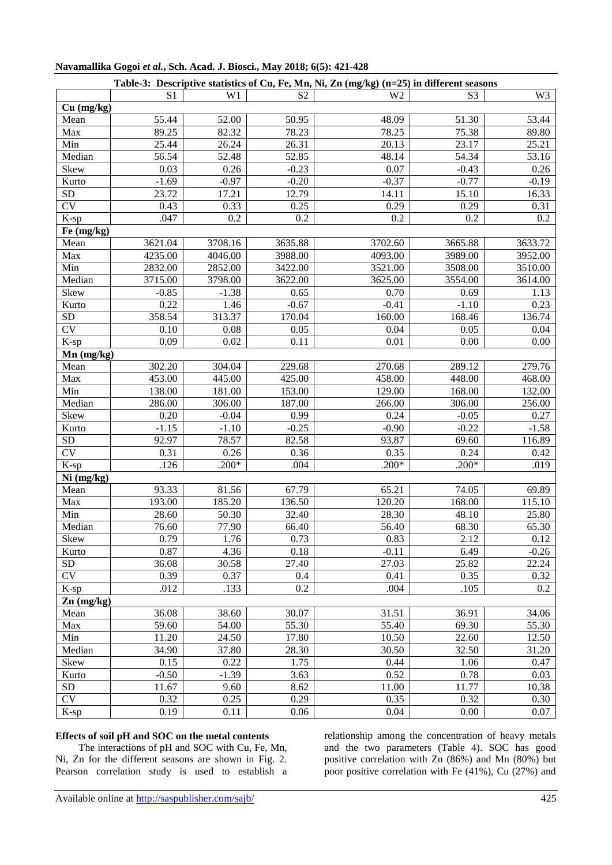| Table-3: Descriptive statistics of Cu, Fe, Mn, Ni, Zn (mg/kg) (n=25) in different seasons |         |         |                |                |                |                |  |  |
|-------------------------------------------------------------------------------------------|---------|---------|----------------|----------------|----------------|----------------|--|--|
|                                                                                           | S1      | W1      | S <sub>2</sub> | W <sub>2</sub> | S <sub>3</sub> | W <sub>3</sub> |  |  |
| Cu (mg/kg)                                                                                |         |         |                |                |                |                |  |  |
| Mean                                                                                      | 55.44   | 52.00   | 50.95          | 48.09          | 51.30          | 53.44          |  |  |
| Max                                                                                       | 89.25   | 82.32   | 78.23          | 78.25          | 75.38          | 89.80          |  |  |
| Min                                                                                       | 25.44   | 26.24   | 26.31          | 20.13          | 23.17          | 25.21          |  |  |
| Median                                                                                    | 56.54   | 52.48   | 52.85          | 48.14          | 54.34          | 53.16          |  |  |
| Skew                                                                                      | 0.03    | 0.26    | $-0.23$        | 0.07           | $-0.43$        | 0.26           |  |  |
| Kurto                                                                                     | $-1.69$ | $-0.97$ | $-0.20$        | $-0.37$        | $-0.77$        | $-0.19$        |  |  |
| SD                                                                                        | 23.72   | 17.21   | 12.79          | 14.11          | 15.10          | 16.33          |  |  |
| $\overline{\text{CV}}$                                                                    | 0.43    | 0.33    | 0.25           | 0.29           | 0.29           | 0.31           |  |  |
| $K$ -sp                                                                                   | .047    | 0.2     | 0.2            | 0.2            | 0.2            | 0.2            |  |  |
| Fe (mg/kg)                                                                                |         |         |                |                |                |                |  |  |
| Mean                                                                                      | 3621.04 | 3708.16 | 3635.88        | 3702.60        | 3665.88        | 3633.72        |  |  |
| Max                                                                                       | 4235.00 | 4046.00 | 3988.00        | 4093.00        | 3989.00        | 3952.00        |  |  |
| Min                                                                                       | 2832.00 | 2852.00 | 3422.00        | 3521.00        | 3508.00        | 3510.00        |  |  |
| Median                                                                                    | 3715.00 | 3798.00 | 3622.00        | 3625.00        | 3554.00        | 3614.00        |  |  |
| Skew                                                                                      | $-0.85$ | $-1.38$ | 0.65           | 0.70           | 0.69           | 1.13           |  |  |
| Kurto                                                                                     | 0.22    | 1.46    | $-0.67$        | $-0.41$        | $-1.10$        | 0.23           |  |  |
| <b>SD</b>                                                                                 | 358.54  | 313.37  | 170.04         | 160.00         | 168.46         | 136.74         |  |  |
| $\overline{\text{CV}}$                                                                    | 0.10    | 0.08    | 0.05           | 0.04           | 0.05           | 0.04           |  |  |
| $K$ -sp                                                                                   | 0.09    | 0.02    | 0.11           | 0.01           | 0.00           | 0.00           |  |  |
| $Mn$ (mg/kg)                                                                              |         |         |                |                |                |                |  |  |
| Mean                                                                                      | 302.20  | 304.04  | 229.68         | 270.68         | 289.12         | 279.76         |  |  |
| Max                                                                                       | 453.00  | 445.00  | 425.00         | 458.00         | 448.00         | 468.00         |  |  |
| Min                                                                                       | 138.00  | 181.00  | 153.00         | 129.00         | 168.00         | 132.00         |  |  |
| Median                                                                                    | 286.00  | 306.00  | 187.00         | 266.00         | 306.00         | 256.00         |  |  |
| Skew                                                                                      | 0.20    | $-0.04$ | 0.99           | 0.24           | $-0.05$        | 0.27           |  |  |
| Kurto                                                                                     | $-1.15$ | $-1.10$ | $-0.25$        | $-0.90$        | $-0.22$        | $-1.58$        |  |  |
| SD                                                                                        | 92.97   | 78.57   | 82.58          | 93.87          | 69.60          | 116.89         |  |  |
| <b>CV</b>                                                                                 | 0.31    | 0.26    | 0.36           | 0.35           | 0.24           | 0.42           |  |  |
| K-sp                                                                                      | .126    | $.200*$ | .004           | $.200*$        | $.200*$        | .019           |  |  |
| Ni (mg/kg)                                                                                |         |         |                |                |                |                |  |  |
| Mean                                                                                      | 93.33   | 81.56   | 67.79          | 65.21          | 74.05          | 69.89          |  |  |
| Max                                                                                       | 193.00  | 185.20  | 136.50         | 120.20         | 168.00         | 115.10         |  |  |
| Min                                                                                       | 28.60   | 50.30   | 32.40          | 28.30          | 48.10          | 25.80          |  |  |
| Median                                                                                    | 76.60   | 77.90   | 66.40          | 56.40          | 68.30          | 65.30          |  |  |
| Skew                                                                                      | 0.79    | 1.76    | 0.73           | 0.83           | 2.12           | 0.12           |  |  |
| Kurto                                                                                     | 0.87    | 4.36    | 0.18           | $-0.11$        | 6.49           | $-0.26$        |  |  |
| ${\rm SD}$                                                                                | 36.08   | 30.58   | 27.40          | 27.03          | 25.82          | 22.24          |  |  |
| CV                                                                                        | 0.39    | 0.37    | 0.4            | 0.41           | 0.35           | 0.32           |  |  |
| $K$ -sp                                                                                   | .012    | .133    | 0.2            | .004           | .105           | 0.2            |  |  |
| $Zn$ (mg/kg)                                                                              |         |         |                |                |                |                |  |  |
| Mean                                                                                      | 36.08   | 38.60   | 30.07          | 31.51          | 36.91          | 34.06          |  |  |
| Max                                                                                       | 59.60   | 54.00   | 55.30          | 55.40          | 69.30          | 55.30          |  |  |
| Min                                                                                       | 11.20   | 24.50   | 17.80          | 10.50          | 22.60          | 12.50          |  |  |
| Median                                                                                    | 34.90   | 37.80   | 28.30          | 30.50          | 32.50          | 31.20          |  |  |
| Skew                                                                                      | 0.15    | 0.22    | 1.75           | 0.44           | 1.06           | 0.47           |  |  |
| Kurto                                                                                     | $-0.50$ | $-1.39$ | 3.63           | 0.52           | 0.78           | 0.03           |  |  |
| ${\rm SD}$                                                                                | 11.67   | 9.60    | 8.62           | 11.00          | 11.77          | 10.38          |  |  |
| CV                                                                                        | 0.32    | 0.25    | 0.29           | 0.35           | 0.32           | 0.30           |  |  |
| K-sp                                                                                      | 0.19    | 0.11    | 0.06           | 0.04           | 0.00           | 0.07           |  |  |

### **Navamallika Gogoi** *et al.***, Sch. Acad. J. Biosci., May 2018; 6(5): 421-428**

# **Effects of soil pH and SOC on the metal contents**

 The interactions of pH and SOC with Cu, Fe, Mn, Ni, Zn for the different seasons are shown in Fig. 2. Pearson correlation study is used to establish a relationship among the concentration of heavy metals and the two parameters (Table 4). SOC has good positive correlation with Zn (86%) and Mn (80%) but poor positive correlation with Fe (41%), Cu (27%) and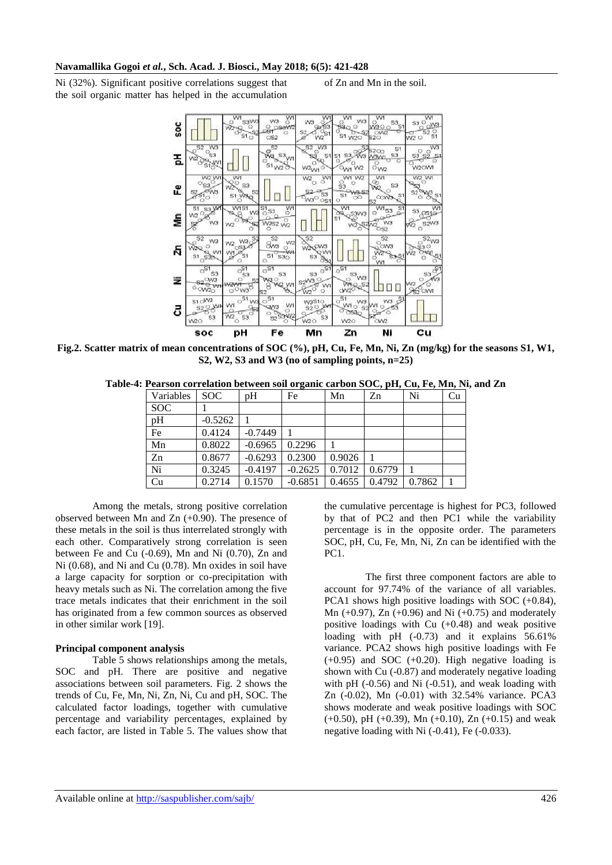Ni (32%). Significant positive correlations suggest that the soil organic matter has helped in the accumulation of Zn and Mn in the soil.



**Fig.2. Scatter matrix of mean concentrations of SOC (%), pH, Cu, Fe, Mn, Ni, Zn (mg/kg) for the seasons S1, W1, S2, W2, S3 and W3 (no of sampling points, n=25)**

**Table-4: Pearson correlation between soil organic carbon SOC, pH, Cu, Fe, Mn, Ni, and Zn**

| Variables  | SOC.      | pH        | Fe        | Mn     | Zn     | Ni     | Cu |
|------------|-----------|-----------|-----------|--------|--------|--------|----|
| <b>SOC</b> |           |           |           |        |        |        |    |
| pH         | $-0.5262$ |           |           |        |        |        |    |
| Fe         | 0.4124    | $-0.7449$ |           |        |        |        |    |
| Mn         | 0.8022    | $-0.6965$ | 0.2296    |        |        |        |    |
| Zn         | 0.8677    | $-0.6293$ | 0.2300    | 0.9026 |        |        |    |
| Ni         | 0.3245    | $-0.4197$ | $-0.2625$ | 0.7012 | 0.6779 |        |    |
| Cu         | 0.2714    | 0.1570    | $-0.6851$ | 0.4655 | 0.4792 | 0.7862 |    |

Among the metals, strong positive correlation observed between Mn and Zn (+0.90). The presence of these metals in the soil is thus interrelated strongly with each other. Comparatively strong correlation is seen between Fe and Cu (-0.69), Mn and Ni (0.70), Zn and Ni (0.68), and Ni and Cu (0.78). Mn oxides in soil have a large capacity for sorption or co-precipitation with heavy metals such as Ni. The correlation among the five trace metals indicates that their enrichment in the soil has originated from a few common sources as observed in other similar work [19].

#### **Principal component analysis**

Table 5 shows relationships among the metals, SOC and pH. There are positive and negative associations between soil parameters. Fig. 2 shows the trends of Cu, Fe, Mn, Ni, Zn, Ni, Cu and pH, SOC. The calculated factor loadings, together with cumulative percentage and variability percentages, explained by each factor, are listed in Table 5. The values show that the cumulative percentage is highest for PC3, followed by that of PC2 and then PC1 while the variability percentage is in the opposite order. The parameters SOC, pH, Cu, Fe, Mn, Ni, Zn can be identified with the PC1.

 The first three component factors are able to account for 97.74% of the variance of all variables. PCA1 shows high positive loadings with SOC (+0.84), Mn  $(+0.97)$ , Zn  $(+0.96)$  and Ni  $(+0.75)$  and moderately positive loadings with Cu  $(+0.48)$  and weak positive loading with pH (-0.73) and it explains 56.61% variance. PCA2 shows high positive loadings with Fe  $(+0.95)$  and SOC  $(+0.20)$ . High negative loading is shown with Cu (-0.87) and moderately negative loading with  $pH$  (-0.56) and Ni (-0.51), and weak loading with Zn (-0.02), Mn (-0.01) with 32.54% variance. PCA3 shows moderate and weak positive loadings with SOC  $(+0.50)$ , pH  $(+0.39)$ , Mn  $(+0.10)$ , Zn  $(+0.15)$  and weak negative loading with Ni (-0.41), Fe (-0.033).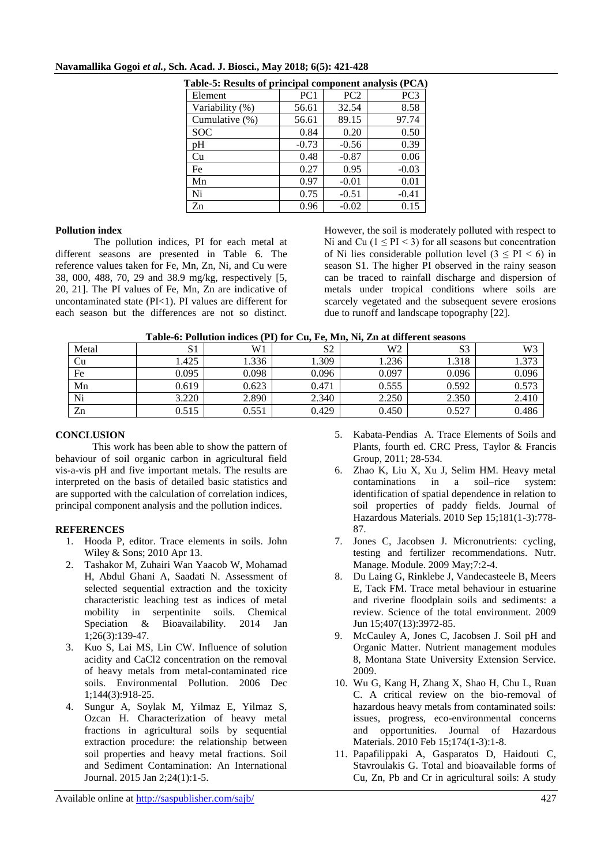| Table-5: Results of principal component analysis (PCA) |                 |         |                 |  |  |  |  |  |
|--------------------------------------------------------|-----------------|---------|-----------------|--|--|--|--|--|
| Element                                                | PC <sub>1</sub> | PC2     | PC <sub>3</sub> |  |  |  |  |  |
| Variability (%)                                        | 56.61           | 32.54   | 8.58            |  |  |  |  |  |
| Cumulative (%)                                         | 56.61           | 89.15   | 97.74           |  |  |  |  |  |
| <b>SOC</b>                                             | 0.84            | 0.20    | 0.50            |  |  |  |  |  |
| pH                                                     | $-0.73$         | $-0.56$ | 0.39            |  |  |  |  |  |
| Cu                                                     | 0.48            | $-0.87$ | 0.06            |  |  |  |  |  |
| Fe                                                     | 0.27            | 0.95    | $-0.03$         |  |  |  |  |  |
| Mn                                                     | 0.97            | $-0.01$ | 0.01            |  |  |  |  |  |
| Ni                                                     | 0.75            | $-0.51$ | $-0.41$         |  |  |  |  |  |
| Zn                                                     | 0.96            | $-0.02$ | 0.15            |  |  |  |  |  |

#### **Navamallika Gogoi** *et al.***, Sch. Acad. J. Biosci., May 2018; 6(5): 421-428**

#### **Pollution index**

 The pollution indices, PI for each metal at different seasons are presented in Table 6. The reference values taken for Fe, Mn, Zn, Ni, and Cu were 38, 000, 488, 70, 29 and 38.9 mg/kg, respectively [5, 20, 21]. The PI values of Fe, Mn, Zn are indicative of uncontaminated state  $(PI<1)$ . PI values are different for each season but the differences are not so distinct.

However, the soil is moderately polluted with respect to Ni and Cu  $(1 \leq PI \leq 3)$  for all seasons but concentration of Ni lies considerable pollution level  $(3 \leq PI \leq 6)$  in season S1. The higher PI observed in the rainy season can be traced to rainfall discharge and dispersion of metals under tropical conditions where soils are scarcely vegetated and the subsequent severe erosions due to runoff and landscape topography [22].

| Table-6: Pollution indices (PI) for Cu, Fe, Mn, Ni, Zn at different seasons |  |  |  |  |
|-----------------------------------------------------------------------------|--|--|--|--|
|                                                                             |  |  |  |  |

| Metal | ມ⊥    | W1    | S <sub>2</sub> | W <sub>2</sub> | S <sub>3</sub> | W3    |
|-------|-------|-------|----------------|----------------|----------------|-------|
| Cu    | .425  | 1.336 | .309           | 1.236          | 1.318          | 373   |
| Fe    | 0.095 | 0.098 | 0.096          | 0.097          | 0.096          | 0.096 |
| Mn    | 0.619 | 0.623 | 0.471          | 0.555          | 0.592          | 0.573 |
| Ni    | 3.220 | 2.890 | 2.340          | 2.250          | 2.350          | 2.410 |
| Zn    | 0.515 | 0.551 | 0.429          | 0.450          | 0.527          | 0.486 |

#### **CONCLUSION**

This work has been able to show the pattern of behaviour of soil organic carbon in agricultural field vis-a-vis pH and five important metals. The results are interpreted on the basis of detailed basic statistics and are supported with the calculation of correlation indices, principal component analysis and the pollution indices.

#### **REFERENCES**

- 1. Hooda P, editor. Trace elements in soils. John Wiley & Sons; 2010 Apr 13.
- 2. Tashakor M, Zuhairi Wan Yaacob W, Mohamad H, Abdul Ghani A, Saadati N. Assessment of selected sequential extraction and the toxicity characteristic leaching test as indices of metal mobility in serpentinite soils. Chemical Speciation & Bioavailability. 2014 Jan 1;26(3):139-47.
- 3. Kuo S, Lai MS, Lin CW. Influence of solution acidity and CaCl2 concentration on the removal of heavy metals from metal-contaminated rice soils. Environmental Pollution. 2006 Dec 1;144(3):918-25.
- 4. Sungur A, Soylak M, Yilmaz E, Yilmaz S, Ozcan H. Characterization of heavy metal fractions in agricultural soils by sequential extraction procedure: the relationship between soil properties and heavy metal fractions. Soil and Sediment Contamination: An International Journal. 2015 Jan 2;24(1):1-5.
- 5. Kabata-Pendias A. Trace Elements of Soils and Plants, fourth ed. CRC Press, Taylor & Francis Group, 2011; 28-534.
- 6. Zhao K, Liu X, Xu J, Selim HM. Heavy metal contaminations in a soil–rice system: identification of spatial dependence in relation to soil properties of paddy fields. Journal of Hazardous Materials. 2010 Sep 15;181(1-3):778- 87.
- 7. Jones C, Jacobsen J. Micronutrients: cycling, testing and fertilizer recommendations. Nutr. Manage. Module. 2009 May;7:2-4.
- 8. Du Laing G, Rinklebe J, Vandecasteele B, Meers E, Tack FM. Trace metal behaviour in estuarine and riverine floodplain soils and sediments: a review. Science of the total environment. 2009 Jun 15;407(13):3972-85.
- 9. McCauley A, Jones C, Jacobsen J. Soil pH and Organic Matter. Nutrient management modules 8, Montana State University Extension Service. 2009.
- 10. Wu G, Kang H, Zhang X, Shao H, Chu L, Ruan C. A critical review on the bio-removal of hazardous heavy metals from contaminated soils: issues, progress, eco-environmental concerns and opportunities. Journal of Hazardous Materials. 2010 Feb 15;174(1-3):1-8.
- 11. Papafilippaki A, Gasparatos D, Haidouti C, Stavroulakis G. Total and bioavailable forms of Cu, Zn, Pb and Cr in agricultural soils: A study

Available online at<http://saspublisher.com/sajb/> 427